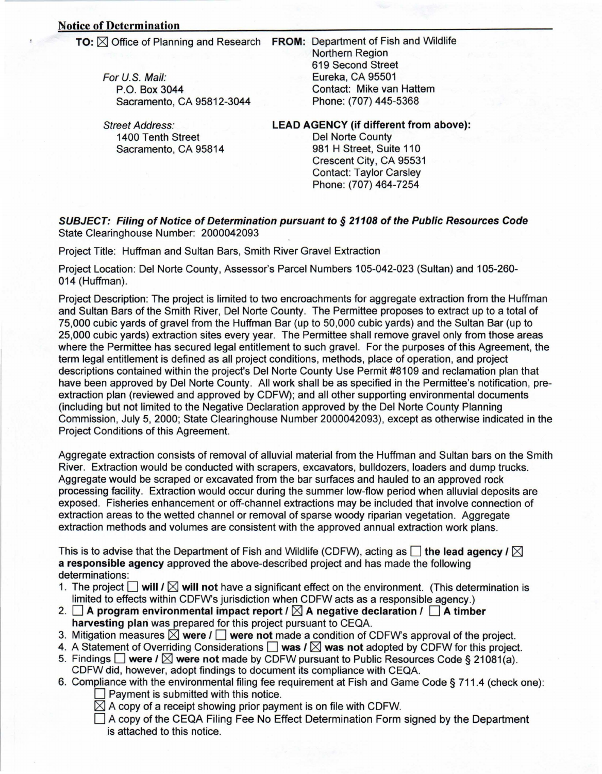For U.S. Mail: **P.O. Box 3044** 

**TO:** ⊠ Office of Planning and Research FROM: Department of Fish and Wildlife **Northern Region** 619 Second Street Eureka, CA 95501 Contact: Mike van Hattem Phone: (707) 445-5368

1400 Tenth Street Sacramento, CA 95814

Sacramento, CA 95812-3044

## Street Address: LEAD AGENCY (if different from above):

Del Norte County 981 H Street, Suite 110 Crescent City, CA 95531 Contact: Taylor Carsley Phone: (707) 464-7254

## **SUBJECT: Filing of Notice of Determination pursuant to § 21108 of the Public Resources Code** State Clearinghouse Number: 2000042093

Project Title: Huffman and Sultan Bars, Smith River Gravel Extraction

Project Location: Del Norte County, Assessor's Parcel Numbers 105-042-023 (Sultan) and 105-260-014 (Huffman).

Project Description: The project is limited to two encroachments for aggregate extraction from the Huffman and Sultan Bars of the Smith River, Del Norte County. The Permittee proposes to extract up to a total of 75,000 cubic yards of gravel from the Huffman Bar (up to 50,000 cubic yards) and the Sultan Bar (up to 25,000 cubic yards) extraction sites every year. The Permittee shall remove gravel only from those areas where the Permittee has secured legal entitlement to such gravel. For the purposes of this Agreement, the term legal entitlement is defined as all project conditions, methods, place of operation, and project descriptions contained within the project's Del Norte County Use Permit #8109 and reclamation plan that extraction plan (reviewed and approved by CDFW); and all other supporting environmental documents have been approved by Del Norte County. All work shall be as specified in the Permittee's notification, pre-(including but not limited to the Negative Declaration approved by the Del Norte County Planning Commission, July 5, 2000; State Clearinghouse Number 2000042093), except as otherwise indicated in the Project Conditions of this Agreement.

Aggregate extraction consists of removal of alluvial material from the Huffman and Sultan bars on the Smith River. Extraction would be conducted with scrapers, excavators, bulldozers, loaders and dump trucks. Aggregate would be scraped or excavated from the bar surfaces and hauled to an approved rock processing facility. Extraction would occur during the summer low-flow period when alluvial deposits are exposed. Fisheries enhancement or off-channel extractions may be included that involve connection of extraction areas to the wetted channel or removal of sparse woody riparian vegetation. Aggregate extraction methods and volumes are consistent with the approved annual extraction work plans.

This is to advise that the Department of Fish and Wildlife (CDFW), acting as  $\Box$  the lead agency  $\ell \boxtimes$ a responsible agency approved the above-described project and has made the following :determinations

- 1. The project  $\Box$  will  $\Box$  will not have a significant effect on the environment. (This determination is limited to effects within CDFW's jurisdiction when CDFW acts as a responsible agency.)
- **2.**  $\Box$  **A** program environmental impact report  $\prime \Box$  **A** negative declaration  $\prime \Box$  **A** timber harvesting plan was prepared for this project pursuant to CEQA.
- 3. Mitigation measures **⊠** were  $I$  **□ were not** made a condition of CDFW's approval of the project.
- 4. A Statement of Overriding Considerations  $\Box$  was  $\Box$  was not adopted by CDFW for this project.
- 5. Findings Were I  $\boxtimes$  were not made by CDFW pursuant to Public Resources Code § 21081(a). CDFW did, however, adopt findings to document its compliance with CEQA.
- 6. Compliance with the environmental filing fee requirement at Fish and Game Code § 711.4 (check one):  $\Box$  Payment is submitted with this notice.
	- $\boxtimes$  A copy of a receipt showing prior payment is on file with CDFW.
	- $\Box$  A copy of the CEQA Filing Fee No Effect Determination Form signed by the Department is attached to this notice.